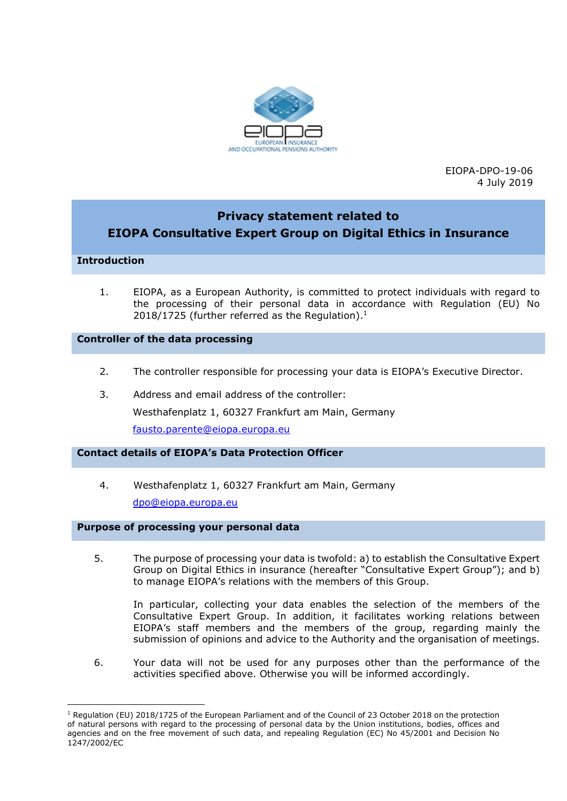

EIOPA-DPO-19-06 4 July 2019

# Privacy statement related to EIOPA Consultative Expert Group on Digital Ethics in Insurance

# Introduction

 $\overline{a}$ 

1. EIOPA, as a European Authority, is committed to protect individuals with regard to the processing of their personal data in accordance with Regulation (EU) No 2018/1725 (further referred as the Regulation). $<sup>1</sup>$ </sup>

### Controller of the data processing

- 2. The controller responsible for processing your data is EIOPA's Executive Director.
- 3. Address and email address of the controller: Westhafenplatz 1, 60327 Frankfurt am Main, Germany fausto.parente@eiopa.europa.eu

# Contact details of EIOPA's Data Protection Officer

4. Westhafenplatz 1, 60327 Frankfurt am Main, Germany dpo@eiopa.europa.eu

# Purpose of processing your personal data

5. The purpose of processing your data is twofold: a) to establish the Consultative Expert Group on Digital Ethics in insurance (hereafter "Consultative Expert Group"); and b) to manage EIOPA's relations with the members of this Group.

In particular, collecting your data enables the selection of the members of the Consultative Expert Group. In addition, it facilitates working relations between EIOPA's staff members and the members of the group, regarding mainly the submission of opinions and advice to the Authority and the organisation of meetings.

6. Your data will not be used for any purposes other than the performance of the activities specified above. Otherwise you will be informed accordingly.

<sup>&</sup>lt;sup>1</sup> Regulation (EU) 2018/1725 of the European Parliament and of the Council of 23 October 2018 on the protection of natural persons with regard to the processing of personal data by the Union institutions, bodies, offices and agencies and on the free movement of such data, and repealing Regulation (EC) No 45/2001 and Decision No 1247/2002/EC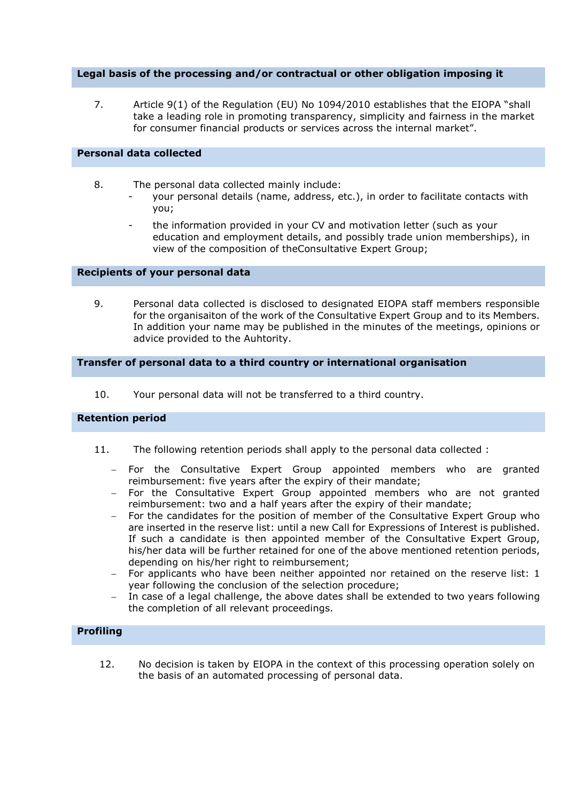### Legal basis of the processing and/or contractual or other obligation imposing it

7. Article 9(1) of the Regulation (EU) No 1094/2010 establishes that the EIOPA "shall take a leading role in promoting transparency, simplicity and fairness in the market for consumer financial products or services across the internal market".

#### Personal data collected

- 8. The personal data collected mainly include:
	- your personal details (name, address, etc.), in order to facilitate contacts with you;
		- the information provided in your CV and motivation letter (such as your education and employment details, and possibly trade union memberships), in view of the composition of theConsultative Expert Group;

#### Recipients of your personal data

9. Personal data collected is disclosed to designated EIOPA staff members responsible for the organisaiton of the work of the Consultative Expert Group and to its Members. In addition your name may be published in the minutes of the meetings, opinions or advice provided to the Auhtority.

#### Transfer of personal data to a third country or international organisation

10. Your personal data will not be transferred to a third country.

#### Retention period

- 11. The following retention periods shall apply to the personal data collected :
	- For the Consultative Expert Group appointed members who are granted reimbursement: five years after the expiry of their mandate;
	- For the Consultative Expert Group appointed members who are not granted reimbursement: two and a half years after the expiry of their mandate;
	- For the candidates for the position of member of the Consultative Expert Group who are inserted in the reserve list: until a new Call for Expressions of Interest is published. If such a candidate is then appointed member of the Consultative Expert Group, his/her data will be further retained for one of the above mentioned retention periods, depending on his/her right to reimbursement;
	- For applicants who have been neither appointed nor retained on the reserve list: 1 year following the conclusion of the selection procedure;
	- In case of a legal challenge, the above dates shall be extended to two years following the completion of all relevant proceedings.

#### Profiling

12. No decision is taken by EIOPA in the context of this processing operation solely on the basis of an automated processing of personal data.